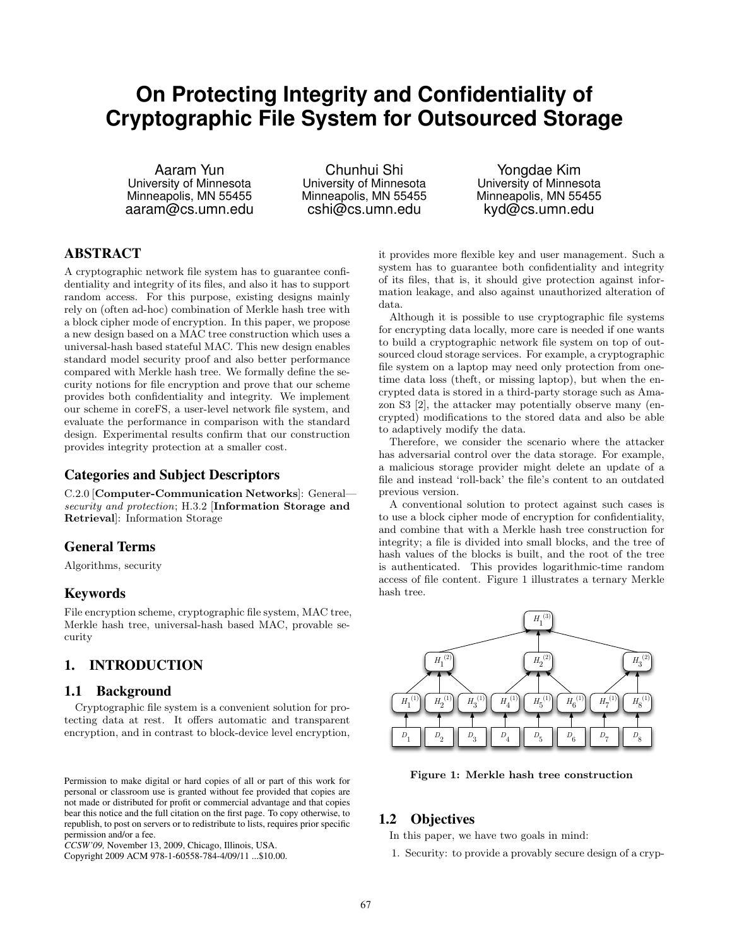# **On Protecting Integrity and Confidentiality of Cryptographic File System for Outsourced Storage**

Aaram Yun University of Minnesota Minneapolis, MN 55455 aaram@cs.umn.edu

Chunhui Shi University of Minnesota Minneapolis, MN 55455 cshi@cs.umn.edu

Yongdae Kim University of Minnesota Minneapolis, MN 55455 kyd@cs.umn.edu

# ABSTRACT

A cryptographic network file system has to guarantee confidentiality and integrity of its files, and also it has to support random access. For this purpose, existing designs mainly rely on (often ad-hoc) combination of Merkle hash tree with a block cipher mode of encryption. In this paper, we propose a new design based on a MAC tree construction which uses a universal-hash based stateful MAC. This new design enables standard model security proof and also better performance compared with Merkle hash tree. We formally define the security notions for file encryption and prove that our scheme provides both confidentiality and integrity. We implement our scheme in coreFS, a user-level network file system, and evaluate the performance in comparison with the standard design. Experimental results confirm that our construction provides integrity protection at a smaller cost.

## Categories and Subject Descriptors

C.2.0 [Computer-Communication Networks]: General security and protection; H.3.2 [Information Storage and Retrieval]: Information Storage

# General Terms

Algorithms, security

## Keywords

File encryption scheme, cryptographic file system, MAC tree, Merkle hash tree, universal-hash based MAC, provable security

# 1. INTRODUCTION

### 1.1 Background

Cryptographic file system is a convenient solution for protecting data at rest. It offers automatic and transparent encryption, and in contrast to block-device level encryption,

Copyright 2009 ACM 978-1-60558-784-4/09/11 ...\$10.00.

it provides more flexible key and user management. Such a system has to guarantee both confidentiality and integrity of its files, that is, it should give protection against information leakage, and also against unauthorized alteration of data.

Although it is possible to use cryptographic file systems for encrypting data locally, more care is needed if one wants to build a cryptographic network file system on top of outsourced cloud storage services. For example, a cryptographic file system on a laptop may need only protection from onetime data loss (theft, or missing laptop), but when the encrypted data is stored in a third-party storage such as Amazon S3 [2], the attacker may potentially observe many (encrypted) modifications to the stored data and also be able to adaptively modify the data.

Therefore, we consider the scenario where the attacker has adversarial control over the data storage. For example, a malicious storage provider might delete an update of a file and instead 'roll-back' the file's content to an outdated previous version.

A conventional solution to protect against such cases is to use a block cipher mode of encryption for confidentiality, and combine that with a Merkle hash tree construction for integrity; a file is divided into small blocks, and the tree of hash values of the blocks is built, and the root of the tree is authenticated. This provides logarithmic-time random access of file content. Figure 1 illustrates a ternary Merkle hash tree.



Figure 1: Merkle hash tree construction

# 1.2 Objectives

- In this paper, we have two goals in mind:
- 1. Security: to provide a provably secure design of a cryp-

Permission to make digital or hard copies of all or part of this work for personal or classroom use is granted without fee provided that copies are not made or distributed for profit or commercial advantage and that copies bear this notice and the full citation on the first page. To copy otherwise, to republish, to post on servers or to redistribute to lists, requires prior specific permission and/or a fee.

*CCSW'09,* November 13, 2009, Chicago, Illinois, USA.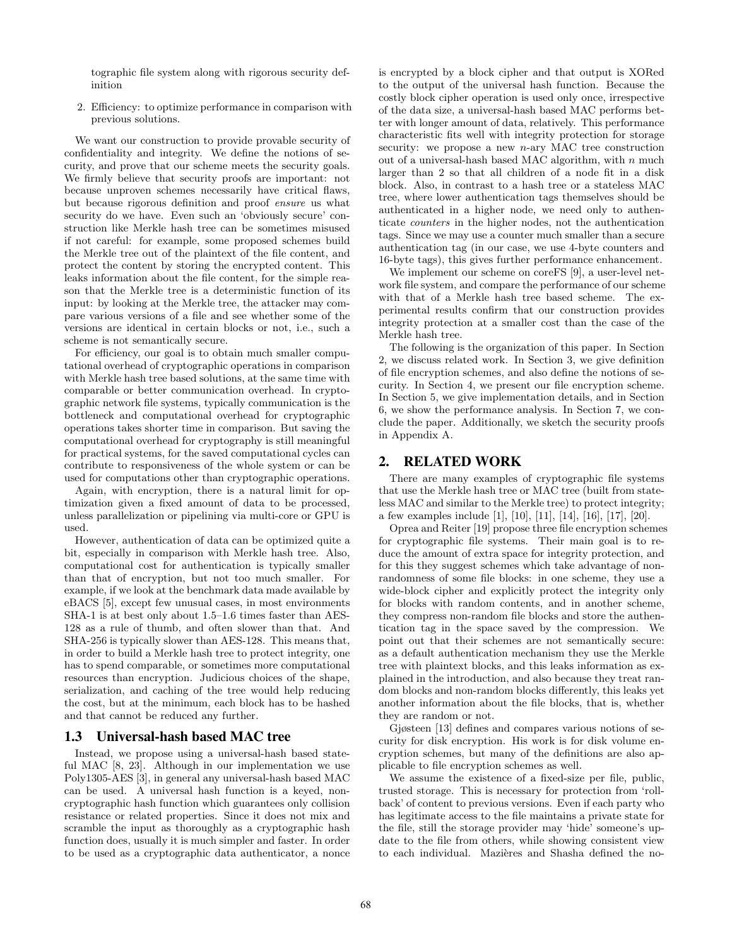tographic file system along with rigorous security definition

2. Efficiency: to optimize performance in comparison with previous solutions.

We want our construction to provide provable security of confidentiality and integrity. We define the notions of security, and prove that our scheme meets the security goals. We firmly believe that security proofs are important: not because unproven schemes necessarily have critical flaws, but because rigorous definition and proof ensure us what security do we have. Even such an 'obviously secure' construction like Merkle hash tree can be sometimes misused if not careful: for example, some proposed schemes build the Merkle tree out of the plaintext of the file content, and protect the content by storing the encrypted content. This leaks information about the file content, for the simple reason that the Merkle tree is a deterministic function of its input: by looking at the Merkle tree, the attacker may compare various versions of a file and see whether some of the versions are identical in certain blocks or not, i.e., such a scheme is not semantically secure.

For efficiency, our goal is to obtain much smaller computational overhead of cryptographic operations in comparison with Merkle hash tree based solutions, at the same time with comparable or better communication overhead. In cryptographic network file systems, typically communication is the bottleneck and computational overhead for cryptographic operations takes shorter time in comparison. But saving the computational overhead for cryptography is still meaningful for practical systems, for the saved computational cycles can contribute to responsiveness of the whole system or can be used for computations other than cryptographic operations.

Again, with encryption, there is a natural limit for optimization given a fixed amount of data to be processed, unless parallelization or pipelining via multi-core or GPU is used.

However, authentication of data can be optimized quite a bit, especially in comparison with Merkle hash tree. Also, computational cost for authentication is typically smaller than that of encryption, but not too much smaller. For example, if we look at the benchmark data made available by eBACS [5], except few unusual cases, in most environments SHA-1 is at best only about 1.5–1.6 times faster than AES-128 as a rule of thumb, and often slower than that. And SHA-256 is typically slower than AES-128. This means that, in order to build a Merkle hash tree to protect integrity, one has to spend comparable, or sometimes more computational resources than encryption. Judicious choices of the shape, serialization, and caching of the tree would help reducing the cost, but at the minimum, each block has to be hashed and that cannot be reduced any further.

#### 1.3 Universal-hash based MAC tree

Instead, we propose using a universal-hash based stateful MAC [8, 23]. Although in our implementation we use Poly1305-AES [3], in general any universal-hash based MAC can be used. A universal hash function is a keyed, noncryptographic hash function which guarantees only collision resistance or related properties. Since it does not mix and scramble the input as thoroughly as a cryptographic hash function does, usually it is much simpler and faster. In order to be used as a cryptographic data authenticator, a nonce is encrypted by a block cipher and that output is XORed to the output of the universal hash function. Because the costly block cipher operation is used only once, irrespective of the data size, a universal-hash based MAC performs better with longer amount of data, relatively. This performance characteristic fits well with integrity protection for storage security: we propose a new  $n$ -ary MAC tree construction out of a universal-hash based MAC algorithm, with  $n$  much larger than 2 so that all children of a node fit in a disk block. Also, in contrast to a hash tree or a stateless MAC tree, where lower authentication tags themselves should be authenticated in a higher node, we need only to authenticate counters in the higher nodes, not the authentication tags. Since we may use a counter much smaller than a secure authentication tag (in our case, we use 4-byte counters and 16-byte tags), this gives further performance enhancement.

We implement our scheme on coreFS [9], a user-level network file system, and compare the performance of our scheme with that of a Merkle hash tree based scheme. The experimental results confirm that our construction provides integrity protection at a smaller cost than the case of the Merkle hash tree.

The following is the organization of this paper. In Section 2, we discuss related work. In Section 3, we give definition of file encryption schemes, and also define the notions of security. In Section 4, we present our file encryption scheme. In Section 5, we give implementation details, and in Section 6, we show the performance analysis. In Section 7, we conclude the paper. Additionally, we sketch the security proofs in Appendix A.

## 2. RELATED WORK

There are many examples of cryptographic file systems that use the Merkle hash tree or MAC tree (built from stateless MAC and similar to the Merkle tree) to protect integrity; a few examples include [1], [10], [11], [14], [16], [17], [20].

Oprea and Reiter [19] propose three file encryption schemes for cryptographic file systems. Their main goal is to reduce the amount of extra space for integrity protection, and for this they suggest schemes which take advantage of nonrandomness of some file blocks: in one scheme, they use a wide-block cipher and explicitly protect the integrity only for blocks with random contents, and in another scheme, they compress non-random file blocks and store the authentication tag in the space saved by the compression. We point out that their schemes are not semantically secure: as a default authentication mechanism they use the Merkle tree with plaintext blocks, and this leaks information as explained in the introduction, and also because they treat random blocks and non-random blocks differently, this leaks yet another information about the file blocks, that is, whether they are random or not.

Gjøsteen [13] defines and compares various notions of security for disk encryption. His work is for disk volume encryption schemes, but many of the definitions are also applicable to file encryption schemes as well.

We assume the existence of a fixed-size per file, public, trusted storage. This is necessary for protection from 'rollback' of content to previous versions. Even if each party who has legitimate access to the file maintains a private state for the file, still the storage provider may 'hide' someone's update to the file from others, while showing consistent view to each individual. Mazières and Shasha defined the no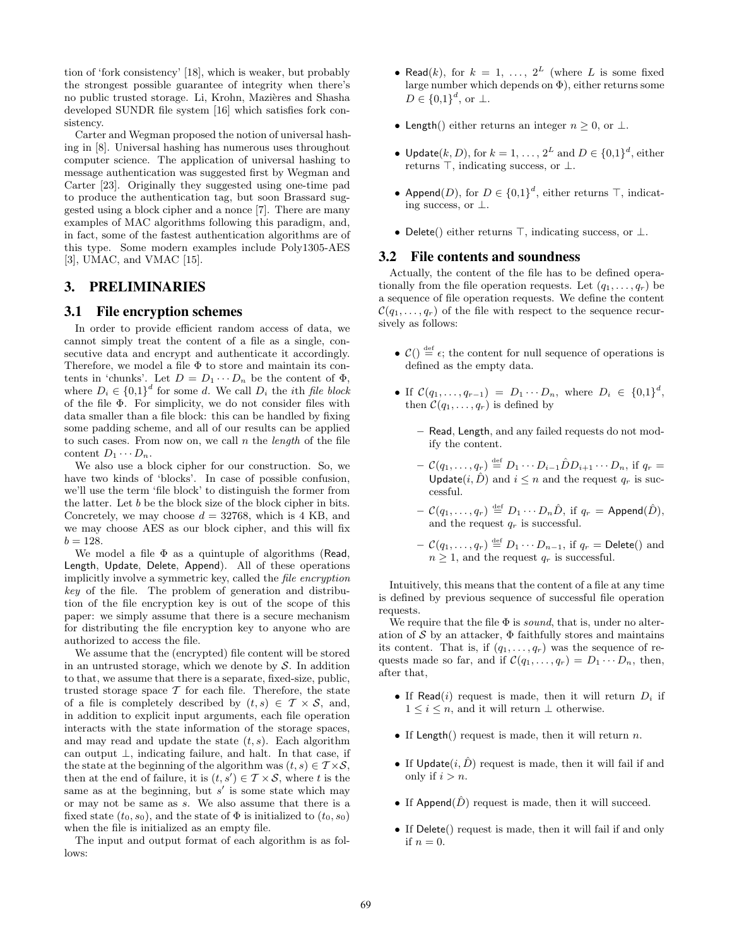tion of 'fork consistency' [18], which is weaker, but probably the strongest possible guarantee of integrity when there's no public trusted storage. Li, Krohn, Mazières and Shasha developed SUNDR file system [16] which satisfies fork consistency.

Carter and Wegman proposed the notion of universal hashing in [8]. Universal hashing has numerous uses throughout computer science. The application of universal hashing to message authentication was suggested first by Wegman and Carter [23]. Originally they suggested using one-time pad to produce the authentication tag, but soon Brassard suggested using a block cipher and a nonce [7]. There are many examples of MAC algorithms following this paradigm, and, in fact, some of the fastest authentication algorithms are of this type. Some modern examples include Poly1305-AES [3], UMAC, and VMAC [15].

## 3. PRELIMINARIES

#### 3.1 File encryption schemes

In order to provide efficient random access of data, we cannot simply treat the content of a file as a single, consecutive data and encrypt and authenticate it accordingly. Therefore, we model a file  $\Phi$  to store and maintain its contents in 'chunks'. Let  $D = D_1 \cdots D_n$  be the content of  $\Phi$ , where  $D_i \in \{0,1\}^d$  for some d. We call  $D_i$  the *i*th *file block* of the file Φ. For simplicity, we do not consider files with data smaller than a file block: this can be handled by fixing some padding scheme, and all of our results can be applied to such cases. From now on, we call  $n$  the *length* of the file content  $D_1 \cdots D_n$ .

We also use a block cipher for our construction. So, we have two kinds of 'blocks'. In case of possible confusion, we'll use the term 'file block' to distinguish the former from the latter. Let b be the block size of the block cipher in bits. Concretely, we may choose  $d = 32768$ , which is 4 KB, and we may choose AES as our block cipher, and this will fix  $b = 128.$ 

We model a file  $\Phi$  as a quintuple of algorithms (Read, Length, Update, Delete, Append). All of these operations implicitly involve a symmetric key, called the file encryption key of the file. The problem of generation and distribution of the file encryption key is out of the scope of this paper: we simply assume that there is a secure mechanism for distributing the file encryption key to anyone who are authorized to access the file.

We assume that the (encrypted) file content will be stored in an untrusted storage, which we denote by  $S$ . In addition to that, we assume that there is a separate, fixed-size, public, trusted storage space  $\mathcal T$  for each file. Therefore, the state of a file is completely described by  $(t, s) \in \mathcal{T} \times \mathcal{S}$ , and, in addition to explicit input arguments, each file operation interacts with the state information of the storage spaces, and may read and update the state  $(t, s)$ . Each algorithm can output  $\perp$ , indicating failure, and halt. In that case, if the state at the beginning of the algorithm was  $(t, s) \in T \times S$ , then at the end of failure, it is  $(t, s') \in \mathcal{T} \times \mathcal{S}$ , where t is the same as at the beginning, but  $s'$  is some state which may or may not be same as s. We also assume that there is a fixed state  $(t_0, s_0)$ , and the state of  $\Phi$  is initialized to  $(t_0, s_0)$ when the file is initialized as an empty file.

The input and output format of each algorithm is as follows:

- Read(k), for  $k = 1, \ldots, 2^L$  (where L is some fixed large number which depends on Φ), either returns some  $D \in \{0,1\}^d$ , or  $\perp$ .
- Length() either returns an integer  $n \geq 0$ , or  $\perp$ .
- Update $(k, D)$ , for  $k = 1, \ldots, 2^L$  and  $D \in \{0, 1\}^d$ , either returns  $\top$ , indicating success, or  $\bot$ .
- Append(D), for  $D \in \{0,1\}^d$ , either returns  $\top$ , indicating success, or ⊥.
- Delete() either returns  $\top$ , indicating success, or  $\bot$ .

#### 3.2 File contents and soundness

Actually, the content of the file has to be defined operationally from the file operation requests. Let  $(q_1, \ldots, q_r)$  be a sequence of file operation requests. We define the content  $\mathcal{C}(q_1,\ldots,q_r)$  of the file with respect to the sequence recursively as follows:

- $\mathcal{C}() \stackrel{\text{def}}{=} \epsilon$ ; the content for null sequence of operations is defined as the empty data.
- If  $C(q_1,...,q_{r-1}) = D_1 \cdots D_n$ , where  $D_i \in \{0,1\}^d$ , then  $C(q_1, \ldots, q_r)$  is defined by
	- Read, Length, and any failed requests do not modify the content.
	- $C(q_1,\ldots,q_r) \stackrel{\text{def}}{=} D_1 \cdots D_{i-1} \hat{D} D_{i+1} \cdots D_n$ , if  $q_r =$ Update(*i*,  $\hat{D}$ ) and  $i \leq n$  and the request  $q_r$  is successful.
	- $\mathcal{C}(q_1, \ldots, q_r) \stackrel{\scriptscriptstyle\rm def}{=} D_1 \cdots D_n \hat{D}, \text{ if } q_r = \mathsf{Append}(\hat{D}),$ and the request  $q_r$  is successful.
	- $C(q_1,\ldots,q_r) \stackrel{\text{def}}{=} D_1 \cdots D_{n-1}, \text{ if } q_r = \mathsf{Delete}() \text{ and }$  $n \geq 1$ , and the request  $q_r$  is successful.

Intuitively, this means that the content of a file at any time is defined by previous sequence of successful file operation requests.

We require that the file  $\Phi$  is *sound*, that is, under no alteration of  $S$  by an attacker,  $\Phi$  faithfully stores and maintains its content. That is, if  $(q_1, \ldots, q_r)$  was the sequence of requests made so far, and if  $C(q_1, \ldots, q_r) = D_1 \cdots D_n$ , then, after that,

- If Read(i) request is made, then it will return  $D_i$  if  $1 \leq i \leq n$ , and it will return  $\perp$  otherwise.
- If Length() request is made, then it will return  $n$ .
- If Update $(i, \hat{D})$  request is made, then it will fail if and only if  $i > n$ .
- If Append $(\hat{D})$  request is made, then it will succeed.
- If Delete() request is made, then it will fail if and only if  $n = 0$ .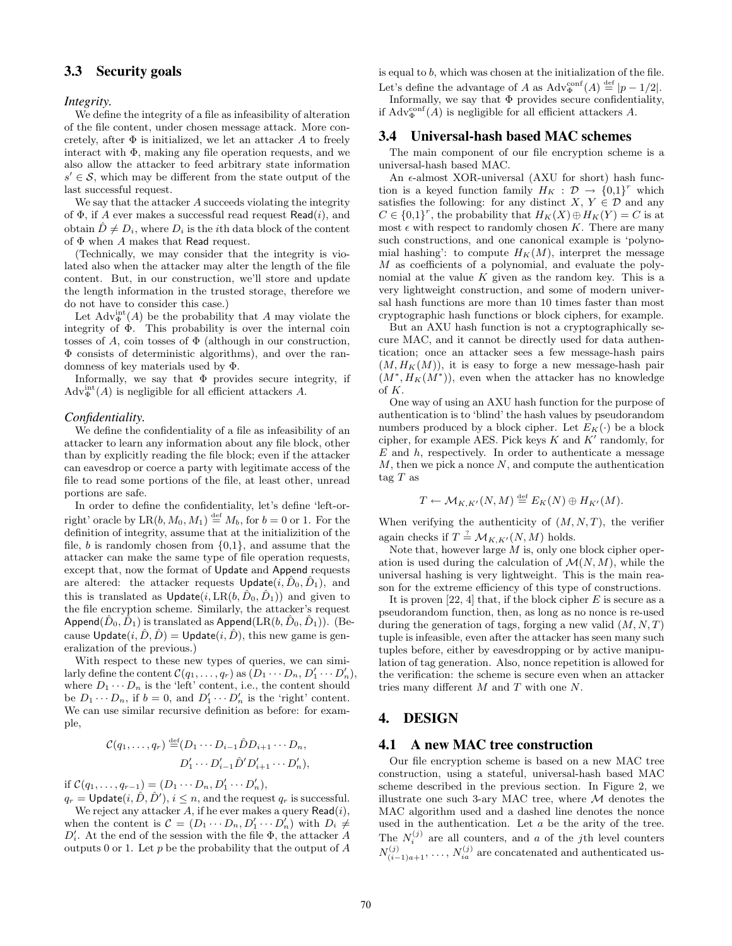## 3.3 Security goals

*Integrity.*

We define the integrity of a file as infeasibility of alteration of the file content, under chosen message attack. More concretely, after  $\Phi$  is initialized, we let an attacker A to freely interact with Φ, making any file operation requests, and we also allow the attacker to feed arbitrary state information  $s' \in \mathcal{S}$ , which may be different from the state output of the last successful request.

We say that the attacker A succeeds violating the integrity of  $\Phi$ , if A ever makes a successful read request Read(i), and obtain  $\hat{D} \neq D_i$ , where  $D_i$  is the *i*th data block of the content of  $\Phi$  when A makes that Read request.

(Technically, we may consider that the integrity is violated also when the attacker may alter the length of the file content. But, in our construction, we'll store and update the length information in the trusted storage, therefore we do not have to consider this case.)

Let  $\text{Adv}_{\Phi}^{\text{int}}(A)$  be the probability that A may violate the integrity of Φ. This probability is over the internal coin tosses of  $A$ , coin tosses of  $\Phi$  (although in our construction, Φ consists of deterministic algorithms), and over the randomness of key materials used by Φ.

Informally, we say that  $\Phi$  provides secure integrity, if  $\text{Adv}_{\Phi}^{\text{int}}(A)$  is negligible for all efficient attackers A.

#### *Confidentiality.*

We define the confidentiality of a file as infeasibility of an attacker to learn any information about any file block, other than by explicitly reading the file block; even if the attacker can eavesdrop or coerce a party with legitimate access of the file to read some portions of the file, at least other, unread portions are safe.

In order to define the confidentiality, let's define 'left-orright' oracle by  $LR(b, M_0, M_1) \stackrel{\text{def}}{=} M_b$ , for  $b = 0$  or 1. For the definition of integrity, assume that at the initializition of the file,  $b$  is randomly chosen from  $\{0,1\}$ , and assume that the attacker can make the same type of file operation requests, except that, now the format of Update and Append requests are altered: the attacker requests  $Update(i, \hat{D}_0, \hat{D}_1)$ , and this is translated as  $Update(i, LR(b, \hat{D}_0, \hat{D}_1))$  and given to the file encryption scheme. Similarly, the attacker's request Append $(D_0, D_1)$  is translated as Append $(\text{LR}(b, D_0, D_1))$ . (Because Update $(i, \hat{D}, \hat{D}) =$  Update $(i, \hat{D})$ , this new game is generalization of the previous.)

With respect to these new types of queries, we can similarly define the content  $C(q_1, \ldots, q_r)$  as  $(D_1 \cdots D_n, D'_1 \cdots D'_n)$ , where  $D_1 \cdots D_n$  is the 'left' content, i.e., the content should be  $D_1 \cdots D_n$ , if  $b = 0$ , and  $D'_1 \cdots D'_n$  is the 'right' content. We can use similar recursive definition as before: for example,

$$
\mathcal{C}(q_1,\ldots,q_r) \stackrel{\text{def}}{=} (D_1 \cdots D_{i-1} \hat{D} D_{i+1} \cdots D_n, \nD'_1 \cdots D'_{i-1} \hat{D}' D'_{i+1} \cdots D'_n),
$$

if  $C(q_1, ..., q_{r-1}) = (D_1 \cdots D_n, D'_1 \cdots D'_n),$ 

 $q_r = \mathsf{Update}(i, \hat{D}, \hat{D}'), i \leq n$ , and the request  $q_r$  is successful.

We reject any attacker  $A$ , if he ever makes a query  $\mathsf{Read}(i)$ , when the content is  $C = (D_1 \cdots D_n, D'_1 \cdots D'_n)$  with  $D_i \neq$  $D_i'$ . At the end of the session with the file  $\Phi$ , the attacker A outputs 0 or 1. Let  $p$  be the probability that the output of  $A$  is equal to b, which was chosen at the initialization of the file. Let's define the advantage of A as  $\text{Adv}_{\Phi}^{\text{conf}}(A) \stackrel{\text{def}}{=} |p-1/2|$ .

Informally, we say that  $\Phi$  provides secure confidentiality, if  $\text{Adv}_{\Phi}^{\text{conf}}(A)$  is negligible for all efficient attackers A.

#### 3.4 Universal-hash based MAC schemes

The main component of our file encryption scheme is a universal-hash based MAC.

An  $\epsilon$ -almost XOR-universal (AXU for short) hash function is a keyed function family  $H_K : \mathcal{D} \to \{0,1\}^r$  which satisfies the following: for any distinct  $X, Y \in \mathcal{D}$  and any  $C \in \{0,1\}^r$ , the probability that  $H_K(X) \oplus H_K(Y) = C$  is at most  $\epsilon$  with respect to randomly chosen K. There are many such constructions, and one canonical example is 'polynomial hashing': to compute  $H_K(M)$ , interpret the message M as coefficients of a polynomial, and evaluate the polynomial at the value  $K$  given as the random key. This is a very lightweight construction, and some of modern universal hash functions are more than 10 times faster than most cryptographic hash functions or block ciphers, for example.

But an AXU hash function is not a cryptographically secure MAC, and it cannot be directly used for data authentication; once an attacker sees a few message-hash pairs  $(M, H_K(M))$ , it is easy to forge a new message-hash pair  $(M^*, H_K(M^*)),$  even when the attacker has no knowledge of K.

One way of using an AXU hash function for the purpose of authentication is to 'blind' the hash values by pseudorandom numbers produced by a block cipher. Let  $E_K(\cdot)$  be a block cipher, for example AES. Pick keys  $K$  and  $K'$  randomly, for  $E$  and  $h$ , respectively. In order to authenticate a message  $M$ , then we pick a nonce  $N$ , and compute the authentication tag  $T$  as

$$
T \leftarrow \mathcal{M}_{K,K'}(N,M) \stackrel{\text{def}}{=} E_K(N) \oplus H_{K'}(M).
$$

When verifying the authenticity of  $(M, N, T)$ , the verifier again checks if  $T \stackrel{?}{=} \mathcal{M}_{K,K'}(N,M)$  holds.

Note that, however large  $M$  is, only one block cipher operation is used during the calculation of  $\mathcal{M}(N, M)$ , while the universal hashing is very lightweight. This is the main reason for the extreme efficiency of this type of constructions.

It is proven [22, 4] that, if the block cipher  $E$  is secure as a pseudorandom function, then, as long as no nonce is re-used during the generation of tags, forging a new valid  $(M, N, T)$ tuple is infeasible, even after the attacker has seen many such tuples before, either by eavesdropping or by active manipulation of tag generation. Also, nonce repetition is allowed for the verification: the scheme is secure even when an attacker tries many different M and T with one N.

### 4. DESIGN

#### 4.1 A new MAC tree construction

Our file encryption scheme is based on a new MAC tree construction, using a stateful, universal-hash based MAC scheme described in the previous section. In Figure 2, we illustrate one such 3-ary MAC tree, where  $M$  denotes the MAC algorithm used and a dashed line denotes the nonce used in the authentication. Let a be the arity of the tree. The  $N_i^{(j)}$  are all counters, and a of the jth level counters  $N_{(i-1)a+1}^{(j)}, \ldots, N_{ia}^{(j)}$  are concatenated and authenticated us-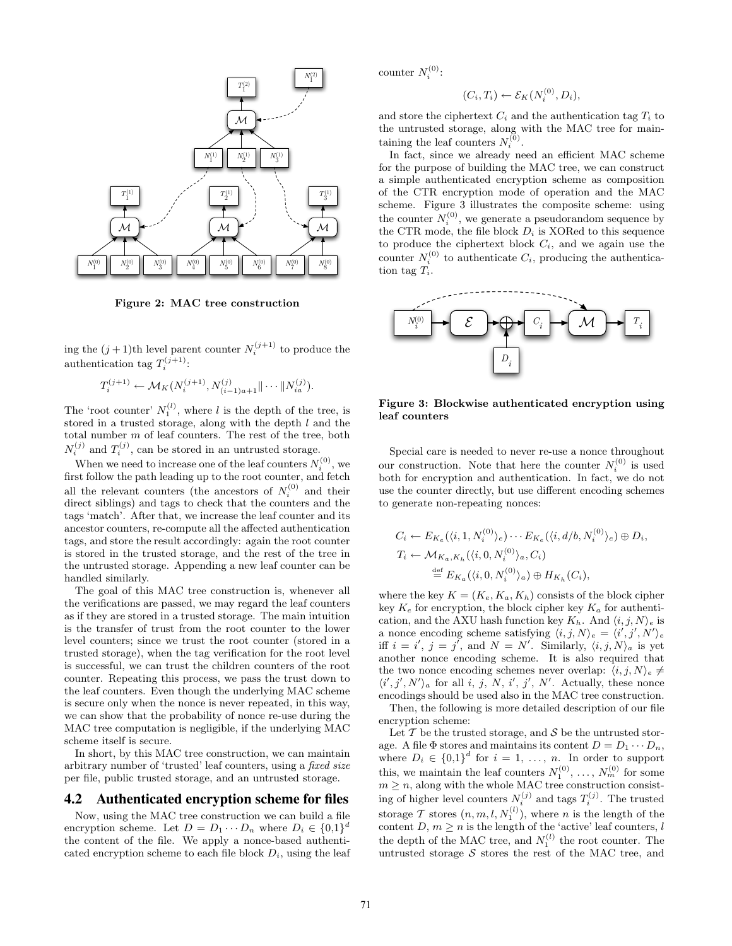

Figure 2: MAC tree construction

ing the  $(j+1)$ <sup>th</sup> level parent counter  $N_i^{(j+1)}$  to produce the authentication tag  $T_i^{(j+1)}$ :

$$
T_i^{(j+1)} \leftarrow \mathcal{M}_K(N_i^{(j+1)}, N_{(i-1)a+1}^{(j)} \| \cdots \| N_{ia}^{(j)}).
$$

The 'root counter'  $N_1^{(l)}$ , where l is the depth of the tree, is stored in a trusted storage, along with the depth l and the total number m of leaf counters. The rest of the tree, both  $N_i^{(j)}$  and  $T_i^{(j)}$ , can be stored in an untrusted storage.

When we need to increase one of the leaf counters  $N_i^{(0)}$ , we first follow the path leading up to the root counter, and fetch all the relevant counters (the ancestors of  $N_i^{(0)}$  and their direct siblings) and tags to check that the counters and the tags 'match'. After that, we increase the leaf counter and its ancestor counters, re-compute all the affected authentication tags, and store the result accordingly: again the root counter is stored in the trusted storage, and the rest of the tree in the untrusted storage. Appending a new leaf counter can be handled similarly.

The goal of this MAC tree construction is, whenever all the verifications are passed, we may regard the leaf counters as if they are stored in a trusted storage. The main intuition is the transfer of trust from the root counter to the lower level counters; since we trust the root counter (stored in a trusted storage), when the tag verification for the root level is successful, we can trust the children counters of the root counter. Repeating this process, we pass the trust down to the leaf counters. Even though the underlying MAC scheme is secure only when the nonce is never repeated, in this way, we can show that the probability of nonce re-use during the MAC tree computation is negligible, if the underlying MAC scheme itself is secure.

In short, by this MAC tree construction, we can maintain arbitrary number of 'trusted' leaf counters, using a fixed size per file, public trusted storage, and an untrusted storage.

#### 4.2 Authenticated encryption scheme for files

Now, using the MAC tree construction we can build a file encryption scheme. Let  $D = D_1 \cdots D_n$  where  $D_i \in \{0,1\}^d$ the content of the file. We apply a nonce-based authenticated encryption scheme to each file block  $D_i$ , using the leaf counter  $N_i^{(0)}$ :

$$
(C_i, T_i) \leftarrow \mathcal{E}_K(N_i^{(0)}, D_i),
$$

and store the ciphertext  $C_i$  and the authentication tag  $T_i$  to the untrusted storage, along with the MAC tree for maintaining the leaf counters  $N_i^{(0)}$ .

In fact, since we already need an efficient MAC scheme for the purpose of building the MAC tree, we can construct a simple authenticated encryption scheme as composition of the CTR encryption mode of operation and the MAC scheme. Figure 3 illustrates the composite scheme: using the counter  $N_i^{(0)}$ , we generate a pseudorandom sequence by the CTR mode, the file block  $D_i$  is XORed to this sequence to produce the ciphertext block  $C_i$ , and we again use the counter  $N_i^{(0)}$  to authenticate  $C_i$ , producing the authentication tag  $T_i$ .



Figure 3: Blockwise authenticated encryption using leaf counters

Special care is needed to never re-use a nonce throughout our construction. Note that here the counter  $N_i^{(0)}$  is used both for encryption and authentication. In fact, we do not use the counter directly, but use different encoding schemes to generate non-repeating nonces:

$$
C_i \leftarrow E_{K_e}(\langle i, 1, N_i^{(0)} \rangle_e) \cdots E_{K_e}(\langle i, d/b, N_i^{(0)} \rangle_e) \oplus D_i,
$$
  
\n
$$
T_i \leftarrow \mathcal{M}_{K_a, K_h}(\langle i, 0, N_i^{(0)} \rangle_a, C_i)
$$
  
\n
$$
\stackrel{\text{def}}{=} E_{K_a}(\langle i, 0, N_i^{(0)} \rangle_a) \oplus H_{K_h}(C_i),
$$

where the key  $K = (K_e, K_a, K_h)$  consists of the block cipher key  $K_e$  for encryption, the block cipher key  $K_a$  for authentication, and the AXU hash function key  $K_h$ . And  $\langle i, j, N \rangle_e$  is a nonce encoding scheme satisfying  $\langle i, j, N \rangle_e = \langle i', j', N' \rangle_e$ iff  $i = i'$ ,  $j = j'$ , and  $N = N'$ . Similarly,  $\langle i, j, N \rangle_a$  is yet another nonce encoding scheme. It is also required that the two nonce encoding schemes never overlap:  $\langle i, j, N \rangle_e \neq$  $\langle i', j', N' \rangle_a$  for all i, j, N, i', j', N'. Actually, these nonce encodings should be used also in the MAC tree construction.

Then, the following is more detailed description of our file encryption scheme:

Let  $\mathcal T$  be the trusted storage, and  $\mathcal S$  be the untrusted storage. A file  $\Phi$  stores and maintains its content  $D = D_1 \cdots D_n$ , where  $D_i \in \{0,1\}^d$  for  $i = 1, \ldots, n$ . In order to support this, we maintain the leaf counters  $N_1^{(0)}, \ldots, N_m^{(0)}$  for some  $m \geq n$ , along with the whole MAC tree construction consisting of higher level counters  $N_i^{(j)}$  and tags  $T_i^{(j)}$ . The trusted storage T stores  $(n, m, l, N_1^{(l)})$ , where n is the length of the content  $D, m \geq n$  is the length of the 'active' leaf counters, l the depth of the MAC tree, and  $N_1^{(l)}$  the root counter. The untrusted storage  $S$  stores the rest of the MAC tree, and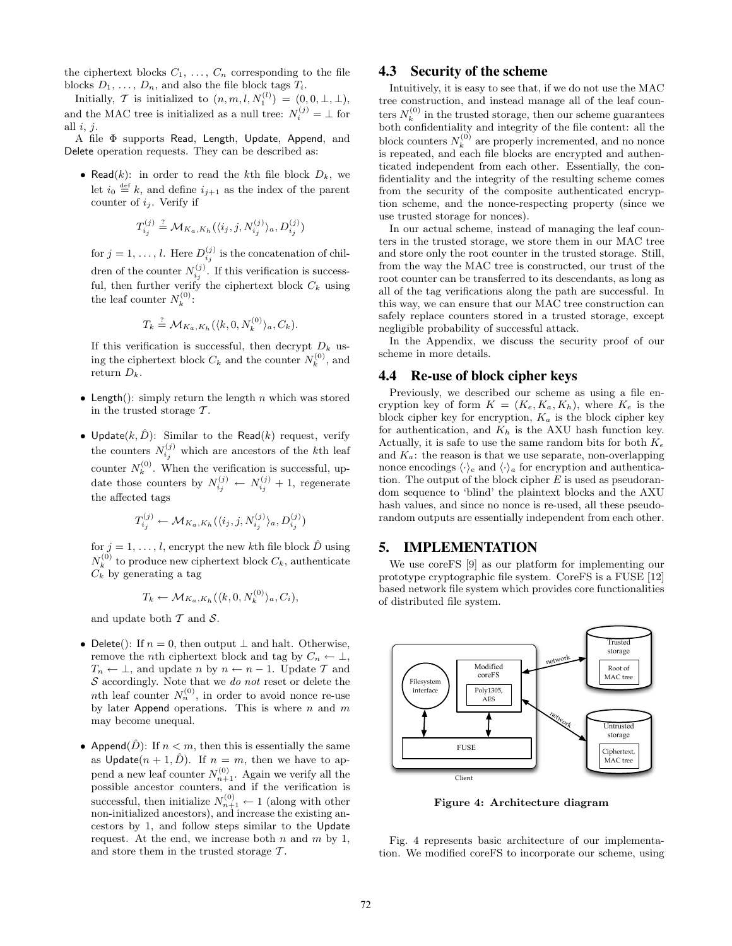the ciphertext blocks  $C_1, \ldots, C_n$  corresponding to the file blocks  $D_1, \ldots, D_n$ , and also the file block tags  $T_i$ .

Initially, T is initialized to  $(n, m, l, N_1^{(l)}) = (0, 0, \perp, \perp),$ and the MAC tree is initialized as a null tree:  $N_i^{(j)} = \perp$  for all  $i, j.$ 

A file Φ supports Read, Length, Update, Append, and Delete operation requests. They can be described as:

• Read(k): in order to read the kth file block  $D_k$ , we let  $i_0 \stackrel{\text{def}}{=} k$ , and define  $i_{j+1}$  as the index of the parent counter of  $i_j$ . Verify if

$$
T_{i_j}^{(j)} \stackrel{?}{=} \mathcal{M}_{K_a,K_b}(\langle i_j, j, N_{i_j}^{(j)} \rangle_a, D_{i_j}^{(j)})
$$

for  $j = 1, ..., l$ . Here  $D_{i_j}^{(j)}$  is the concatenation of children of the counter  $N_{i_j}^{(j)}$ . If this verification is successful, then further verify the ciphertext block  $C_k$  using the leaf counter  $N_k^{(0)}$ :

$$
T_k \stackrel{?}{=} \mathcal{M}_{K_a,K_h}(\langle k, 0, N_k^{(0)} \rangle_a, C_k).
$$

If this verification is successful, then decrypt  $D_k$  using the ciphertext block  $C_k$  and the counter  $N_k^{(0)}$ , and return  $D_k$ .

- Length(): simply return the length n which was stored in the trusted storage  $\mathcal{T}$ .
- Update $(k, \hat{D})$ : Similar to the Read $(k)$  request, verify the counters  $N_{i_j}^{(j)}$  which are ancestors of the kth leaf counter  $N_k^{(0)}$ . When the verification is successful, update those counters by  $N_{i_j}^{(j)} \leftarrow N_{i_j}^{(j)} + 1$ , regenerate the affected tags

$$
T_{i_j}^{(j)} \leftarrow \mathcal{M}_{K_a,K_h}(\langle i_j,j,N_{i_j}^{(j)}\rangle_a,D_{i_j}^{(j)})
$$

for  $j = 1, \ldots, l$ , encrypt the new kth file block  $\hat{D}$  using  $N_k^{(0)}$  to produce new ciphertext block  $C_k$ , authenticate  $C_k$  by generating a tag

$$
T_k \leftarrow \mathcal{M}_{K_a,K_h}(\langle k, 0, N_k^{(0)} \rangle_a, C_i),
$$

and update both  $\mathcal T$  and  $\mathcal S$ .

- Delete(): If  $n = 0$ , then output  $\perp$  and halt. Otherwise, remove the *n*th ciphertext block and tag by  $C_n \leftarrow \perp$ ,  $T_n \leftarrow \perp$ , and update n by  $n \leftarrow n-1$ . Update T and  $S$  accordingly. Note that we do not reset or delete the nth leaf counter  $N_n^{(0)}$ , in order to avoid nonce re-use by later Append operations. This is where  $n$  and  $m$ may become unequal.
- Append $(D)$ : If  $n < m$ , then this is essentially the same as  $Update(n + 1, D)$ . If  $n = m$ , then we have to append a new leaf counter  $N_{n+1}^{(0)}$ . Again we verify all the possible ancestor counters, and if the verification is successful, then initialize  $N_{n+1}^{(0)} \leftarrow 1$  (along with other non-initialized ancestors), and increase the existing ancestors by 1, and follow steps similar to the Update request. At the end, we increase both  $n$  and  $m$  by 1, and store them in the trusted storage  $\mathcal{T}$ .

## 4.3 Security of the scheme

Intuitively, it is easy to see that, if we do not use the MAC tree construction, and instead manage all of the leaf counters  $N_k^{(0)}$  in the trusted storage, then our scheme guarantees both confidentiality and integrity of the file content: all the block counters  $N_k^{(0)}$  are properly incremented, and no nonce is repeated, and each file blocks are encrypted and authenticated independent from each other. Essentially, the confidentiality and the integrity of the resulting scheme comes from the security of the composite authenticated encryption scheme, and the nonce-respecting property (since we use trusted storage for nonces).

In our actual scheme, instead of managing the leaf counters in the trusted storage, we store them in our MAC tree and store only the root counter in the trusted storage. Still, from the way the MAC tree is constructed, our trust of the root counter can be transferred to its descendants, as long as all of the tag verifications along the path are successful. In this way, we can ensure that our MAC tree construction can safely replace counters stored in a trusted storage, except negligible probability of successful attack.

In the Appendix, we discuss the security proof of our scheme in more details.

## 4.4 Re-use of block cipher keys

Previously, we described our scheme as using a file encryption key of form  $K = (K_e, K_a, K_h)$ , where  $K_e$  is the block cipher key for encryption,  $K_a$  is the block cipher key for authentication, and  $K_h$  is the AXU hash function key. Actually, it is safe to use the same random bits for both  $K_e$ and  $K_a$ : the reason is that we use separate, non-overlapping nonce encodings  $\langle \cdot \rangle_e$  and  $\langle \cdot \rangle_a$  for encryption and authentication. The output of the block cipher  $E$  is used as pseudorandom sequence to 'blind' the plaintext blocks and the AXU hash values, and since no nonce is re-used, all these pseudorandom outputs are essentially independent from each other.

## 5. IMPLEMENTATION

We use coreFS [9] as our platform for implementing our prototype cryptographic file system. CoreFS is a FUSE [12] based network file system which provides core functionalities of distributed file system.



Figure 4: Architecture diagram

Fig. 4 represents basic architecture of our implementation. We modified coreFS to incorporate our scheme, using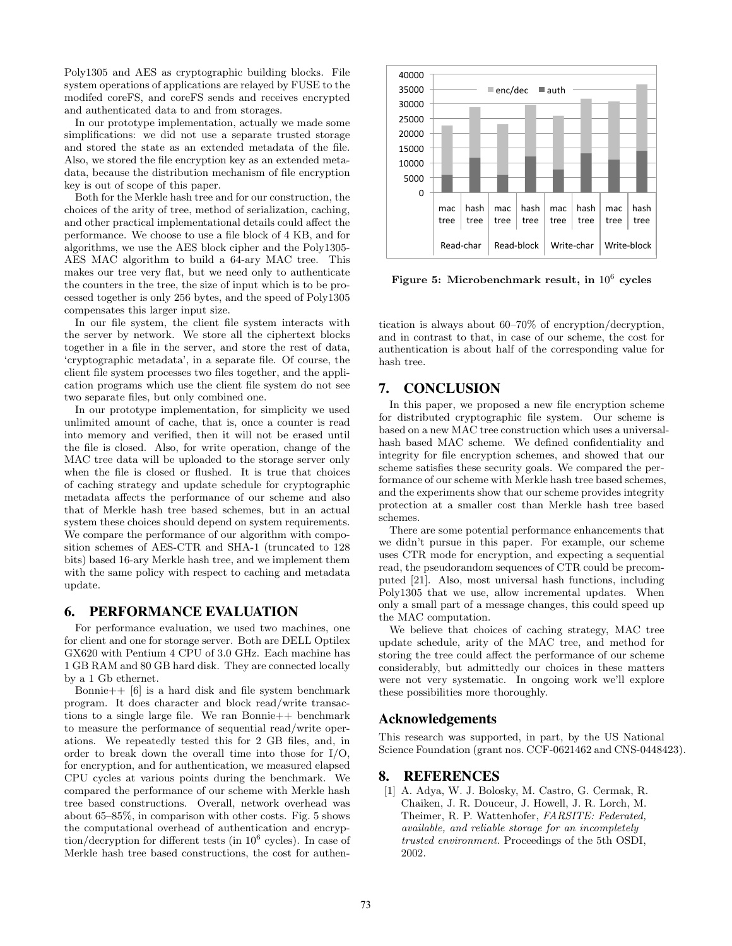Poly1305 and AES as cryptographic building blocks. File system operations of applications are relayed by FUSE to the modifed coreFS, and coreFS sends and receives encrypted and authenticated data to and from storages.

In our prototype implementation, actually we made some simplifications: we did not use a separate trusted storage and stored the state as an extended metadata of the file. Also, we stored the file encryption key as an extended metadata, because the distribution mechanism of file encryption key is out of scope of this paper.

Both for the Merkle hash tree and for our construction, the choices of the arity of tree, method of serialization, caching, and other practical implementational details could affect the performance. We choose to use a file block of 4 KB, and for algorithms, we use the AES block cipher and the Poly1305- AES MAC algorithm to build a 64-ary MAC tree. This makes our tree very flat, but we need only to authenticate the counters in the tree, the size of input which is to be processed together is only 256 bytes, and the speed of Poly1305 compensates this larger input size.

In our file system, the client file system interacts with the server by network. We store all the ciphertext blocks together in a file in the server, and store the rest of data, 'cryptographic metadata', in a separate file. Of course, the client file system processes two files together, and the application programs which use the client file system do not see two separate files, but only combined one.

In our prototype implementation, for simplicity we used unlimited amount of cache, that is, once a counter is read into memory and verified, then it will not be erased until the file is closed. Also, for write operation, change of the MAC tree data will be uploaded to the storage server only when the file is closed or flushed. It is true that choices of caching strategy and update schedule for cryptographic metadata affects the performance of our scheme and also that of Merkle hash tree based schemes, but in an actual system these choices should depend on system requirements. We compare the performance of our algorithm with composition schemes of AES-CTR and SHA-1 (truncated to 128 bits) based 16-ary Merkle hash tree, and we implement them with the same policy with respect to caching and metadata update.

## 6. PERFORMANCE EVALUATION

For performance evaluation, we used two machines, one for client and one for storage server. Both are DELL Optilex GX620 with Pentium 4 CPU of 3.0 GHz. Each machine has 1 GB RAM and 80 GB hard disk. They are connected locally by a 1 Gb ethernet.

Bonnie+ $+$  [6] is a hard disk and file system benchmark program. It does character and block read/write transactions to a single large file. We ran Bonnie++ benchmark to measure the performance of sequential read/write operations. We repeatedly tested this for 2 GB files, and, in order to break down the overall time into those for I/O, for encryption, and for authentication, we measured elapsed CPU cycles at various points during the benchmark. We compared the performance of our scheme with Merkle hash tree based constructions. Overall, network overhead was about 65–85%, in comparison with other costs. Fig. 5 shows the computational overhead of authentication and encryp- $\binom{10}{6}$  cycles). In case of Merkle hash tree based constructions, the cost for authen-



Figure 5: Microbenchmark result, in  $10^6$  cycles

tication is always about 60–70% of encryption/decryption, and in contrast to that, in case of our scheme, the cost for authentication is about half of the corresponding value for hash tree.

# 7. CONCLUSION

In this paper, we proposed a new file encryption scheme for distributed cryptographic file system. Our scheme is based on a new MAC tree construction which uses a universalhash based MAC scheme. We defined confidentiality and integrity for file encryption schemes, and showed that our scheme satisfies these security goals. We compared the performance of our scheme with Merkle hash tree based schemes, and the experiments show that our scheme provides integrity protection at a smaller cost than Merkle hash tree based schemes.

There are some potential performance enhancements that we didn't pursue in this paper. For example, our scheme uses CTR mode for encryption, and expecting a sequential read, the pseudorandom sequences of CTR could be precomputed [21]. Also, most universal hash functions, including Poly1305 that we use, allow incremental updates. When only a small part of a message changes, this could speed up the MAC computation.

We believe that choices of caching strategy, MAC tree update schedule, arity of the MAC tree, and method for storing the tree could affect the performance of our scheme considerably, but admittedly our choices in these matters were not very systematic. In ongoing work we'll explore these possibilities more thoroughly.

## Acknowledgements

This research was supported, in part, by the US National Science Foundation (grant nos. CCF-0621462 and CNS-0448423).

## 8. REFERENCES

[1] A. Adya, W. J. Bolosky, M. Castro, G. Cermak, R. Chaiken, J. R. Douceur, J. Howell, J. R. Lorch, M. Theimer, R. P. Wattenhofer, FARSITE: Federated, available, and reliable storage for an incompletely trusted environment. Proceedings of the 5th OSDI, 2002.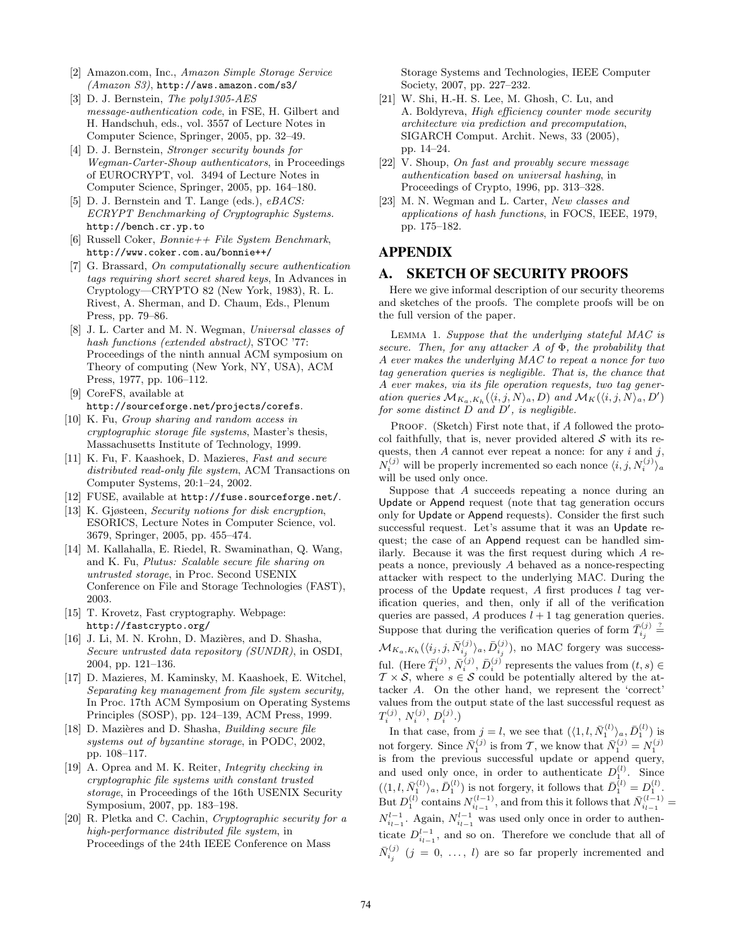- [2] Amazon.com, Inc., Amazon Simple Storage Service (Amazon S3), http://aws.amazon.com/s3/
- [3] D. J. Bernstein, The poly1305-AES message-authentication code, in FSE, H. Gilbert and H. Handschuh, eds., vol. 3557 of Lecture Notes in Computer Science, Springer, 2005, pp. 32–49.
- [4] D. J. Bernstein, *Stronger security bounds for* Wegman-Carter-Shoup authenticators, in Proceedings of EUROCRYPT, vol. 3494 of Lecture Notes in Computer Science, Springer, 2005, pp. 164–180.
- [5] D. J. Bernstein and T. Lange (eds.),  $eBACS$ : ECRYPT Benchmarking of Cryptographic Systems. http://bench.cr.yp.to
- [6] Russell Coker, Bonnie++ File System Benchmark, http://www.coker.com.au/bonnie++/
- [7] G. Brassard, On computationally secure authentication tags requiring short secret shared keys, In Advances in Cryptology—CRYPTO 82 (New York, 1983), R. L. Rivest, A. Sherman, and D. Chaum, Eds., Plenum Press, pp. 79–86.
- [8] J. L. Carter and M. N. Wegman, Universal classes of hash functions (extended abstract), STOC '77: Proceedings of the ninth annual ACM symposium on Theory of computing (New York, NY, USA), ACM Press, 1977, pp. 106–112.
- [9] CoreFS, available at http://sourceforge.net/projects/corefs.
- [10] K. Fu, *Group sharing and random access in* cryptographic storage file systems, Master's thesis, Massachusetts Institute of Technology, 1999.
- [11] K. Fu, F. Kaashoek, D. Mazieres, Fast and secure distributed read-only file system, ACM Transactions on Computer Systems, 20:1–24, 2002.
- [12] FUSE, available at http://fuse.sourceforge.net/.
- [13] K. Gjøsteen, Security notions for disk encryption, ESORICS, Lecture Notes in Computer Science, vol. 3679, Springer, 2005, pp. 455–474.
- [14] M. Kallahalla, E. Riedel, R. Swaminathan, Q. Wang, and K. Fu, Plutus: Scalable secure file sharing on untrusted storage, in Proc. Second USENIX Conference on File and Storage Technologies (FAST), 2003.
- [15] T. Krovetz, Fast cryptography. Webpage: http://fastcrypto.org/
- [16] J. Li, M. N. Krohn, D. Mazières, and D. Shasha, Secure untrusted data repository (SUNDR), in OSDI, 2004, pp. 121–136.
- [17] D. Mazieres, M. Kaminsky, M. Kaashoek, E. Witchel, Separating key management from file system security, In Proc. 17th ACM Symposium on Operating Systems Principles (SOSP), pp. 124–139, ACM Press, 1999.
- [18] D. Mazières and D. Shasha, Building secure file systems out of byzantine storage, in PODC, 2002, pp. 108–117.
- [19] A. Oprea and M. K. Reiter, Integrity checking in cryptographic file systems with constant trusted storage, in Proceedings of the 16th USENIX Security Symposium, 2007, pp. 183–198.
- [20] R. Pletka and C. Cachin, Cryptographic security for a high-performance distributed file system, in Proceedings of the 24th IEEE Conference on Mass

Storage Systems and Technologies, IEEE Computer Society, 2007, pp. 227–232.

- [21] W. Shi, H.-H. S. Lee, M. Ghosh, C. Lu, and A. Boldyreva, High efficiency counter mode security architecture via prediction and precomputation, SIGARCH Comput. Archit. News, 33 (2005), pp. 14–24.
- [22] V. Shoup, On fast and provably secure message authentication based on universal hashing, in Proceedings of Crypto, 1996, pp. 313–328.
- [23] M. N. Wegman and L. Carter, New classes and applications of hash functions, in FOCS, IEEE, 1979, pp. 175–182.

# APPENDIX

## A. SKETCH OF SECURITY PROOFS

Here we give informal description of our security theorems and sketches of the proofs. The complete proofs will be on the full version of the paper.

Lemma 1. Suppose that the underlying stateful MAC is secure. Then, for any attacker  $A$  of  $\Phi$ , the probability that A ever makes the underlying MAC to repeat a nonce for two tag generation queries is negligible. That is, the chance that A ever makes, via its file operation requests, two tag generation queries  $\mathcal{M}_{K_a,K_h}(\langle i,j,N\rangle_a,D)$  and  $\mathcal{M}_K(\langle i,j,N\rangle_a,D')$ for some distinct  $\overline{D}$  and  $D'$ , is negligible.

PROOF. (Sketch) First note that, if A followed the protocol faithfully, that is, never provided altered  $S$  with its requests, then  $A$  cannot ever repeat a nonce: for any  $i$  and  $j$ ,  $N_i^{(j)}$  will be properly incremented so each nonce  $\langle i, j, N_i^{(j)} \rangle_a$ will be used only once.

Suppose that A succeeds repeating a nonce during an Update or Append request (note that tag generation occurs only for Update or Append requests). Consider the first such successful request. Let's assume that it was an Update request; the case of an Append request can be handled similarly. Because it was the first request during which A repeats a nonce, previously A behaved as a nonce-respecting attacker with respect to the underlying MAC. During the process of the Update request,  $A$  first produces  $l$  tag verification queries, and then, only if all of the verification queries are passed,  $A$  produces  $l + 1$  tag generation queries. Suppose that during the verification queries of form  $\bar{T}_{i_j}^{(j)} \stackrel{?}{=}$ 

 $\mathcal{M}_{K_a,K_h}(\langle i_j,j,\bar{N}_{i_j}^{(j)}\rangle_a,\bar{D}_{i_j}^{(j)}),$  no MAC forgery was successful. (Here  $\bar{T}_i^{(j)}$ ,  $\bar{N}_i^{(j)}$ ,  $\bar{D}_i^{(j)}$  represents the values from  $(t, s) \in$  $\mathcal{T} \times \mathcal{S}$ , where  $s \in \mathcal{S}$  could be potentially altered by the attacker A. On the other hand, we represent the 'correct' values from the output state of the last successful request as  $T_i^{(j)}$ ,  $N_i^{(j)}$ ,  $D_i^{(j)}$ .)

In that case, from  $j = l$ , we see that  $\langle \langle 1, l, \bar{N}_1^{(l)} \rangle_a, \bar{D}_1^{(l)} \rangle$  is<br>t forgons. Since  $\bar{N}_1^{(j)}$  is from  $\mathcal{T}$  we know that  $\bar{N}_2^{(j)}$   $N_1^{(j)}$ not forgery. Since  $\bar{N}_1^{(j)}$  is from T, we know that  $\bar{N}_1^{(j)} = N_1^{(j)}$ is from the previous successful update or append query, and used only once, in order to authenticate  $D_1^{(l)}$ . Since  $(\langle 1, l, \bar{N}_1^{(l)} \rangle_a, \bar{D}_1^{(l)})$  is not forgery, it follows that  $\bar{D}_1^{(l)} = D_1^{(l)}$ . But  $D_1^{(l)}$  contains  $N_{i_{l-1}}^{(l-1)}$ , and from this it follows that  $\bar{N}_{i_{l-1}}^{(l-1)}$  =  $N_{i_{l-1}}^{l-1}$ . Again,  $N_{i_{l-1}}^{l-1}$  was used only once in order to authenticate  $D_{i_{l-1}}^{l-1}$ , and so on. Therefore we conclude that all of  $\bar{N}_{i_j}^{(j)}$   $(j = 0, \ldots, l)$  are so far properly incremented and